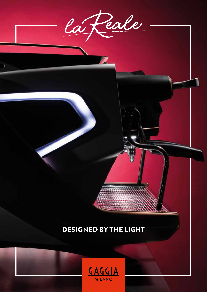

D

# DESIGNED BY THE LIGHT

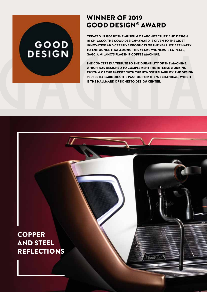# GOOD<br>DESIGN

## WINNER OF 2019 GOOD DESIGN® AWARD

CREATED IN 1950 BY THE MUSEUM OF ARCHITECTURE AND DESIGN IN CHICAGO, THE GOOD DESIGN® AWARD IS GIVEN TO THE MOST INNOVATIVE AND CREATIVE PRODUCTS OF THE YEAR. WE ARE HAPPY TO ANNOUNCE THAT AMONG THIS YEAR'S WINNERS IS LA REALE, GAGGIA MILANO'S FLAGSHIP COFFEE MACHINE.

THE CONCEPT IS A TRIBUTE TO THE DURABILITY OF THE MACHINE, WHICH WAS DESIGNED TO COMPLEMENT THE INTENSE WORKING RHYTHM OF THE BARISTA WITH THE UTMOST RELIABILITY. THE DESIGN PERFECTLY EMBODIES THE PASSION FOR THE 'MECHANICAL', WHICH IS THE HALLMARK OF BONETTO DESIGN CENTER.

 $2$  points

# **COPPER** AND STEEL REFLECTIONS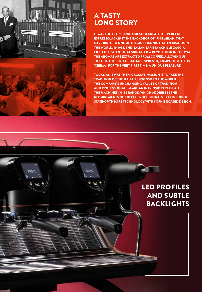

## A TASTY LONG STORY

IT WAS THE YEARS-LONG QUEST TO CREATE THE PERFECT ESPRESSO, AGAINST THE BACKDROP OF 1930S MILAN, THAT GAVE BIRTH TO ONE OF THE MOST ICONIC ITALIAN BRANDS IN THE WORLD. IN 1938, THE ITALIAN BARISTA ACHILLE GAGGIA FILED THE PATENT THAT SIGNALLED A REVOLUTION IN THE WAY THE AROMAS ARE EXTRACTED FROM COFFEE, ALLOWING US TO TASTE THE PERFECT ITALIAN ESPRESSO, COMPLETE WITH ITS 'CREMA', FOR THE VERY FIRST TIME: A UNIQUE PLEASURE.

TODAY, AS IT WAS THEN, GAGGIA'S MISSION IS TO TAKE THE TRADITION OF THE ITALIAN ESPRESSO TO THE WORLD. THE COMPANY'S UNCHANGING VALUES OF TRADITION AND PROFESSIONALISM ARE AN INTRINSIC PART OF ALL THE MACHINES IN ITS RANGE, WHICH ADDRESSES THE REQUIREMENTS OF COFFEE PROFESSIONALS BY COMBINING STATE-OF-THE-ART TECHNOLOGY WITH SOPHISTICATED DESIGN.

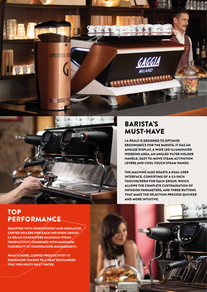



## BARISTA'S MUST-HAVE

LA REALE IS DESIGNED TO OPTIMISE ERGONOMICS FOR THE BARISTA: IT HAS AN ANGLED DISPLAY, A WIDE LED-ILLUMINATED WORKING AREA, AN ANGLED FILTER HOLDER HANDLE, EASY-TO-MOVE STEAM ACTIVATION LEVERS AND COOL TOUCH STEAM WANDS.

THE MACHINE ALSO BOASTS A DUAL USER INTERFACE, CONSISTING OF A 3.5-INCH TOUCHSCREEN FOR EACH GROUP, WHICH ALLOWS THE COMPLETE CUSTOMISATION OF INFUSION PARAMETERS, AND THREE BUTTONS THAT MAKE THE SELECTION PROCESS QUICKER AND MORE INTUITIVE.

## **TOP PERFORMANCE**

EQUIPPED WITH INDEPENDENT AND INSULATED COFFEE BOILERS FOR EACH INFUSION GROUP, LA REALE GUARANTEES MAXIMUM STEAM PRODUCTIVITY COMBINED WITH MAXIMUM FLEXIBILITY IN TEMPERATURE MANAGEMENT.

WHAT'S MORE, COFFEE PRODUCTIVITY IS ENHANCED THANKS TO A HEAT EXCHANGER THAT PRE-HEATS INLET WATER.

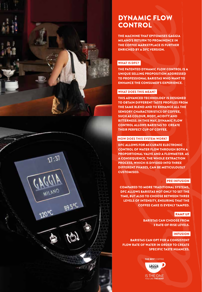



# DYNAMIC FLOW **CONTROL**

THE MACHINE THAT EPITOMISES GAGGIA MILANO'S RETURN TO PROMINENCE IN THE COFFEE MARKETPLACE IS FURTHER ENRICHED BY A DFC VERSION.

## WHAT IS DFC?

THE PATENTED DYNAMIC FLOW CONTROL IS A UNIQUE SELLING PROPOSITION ADDRESSED TO PROFESSIONAL BARISTAS WHO WANT TO ENHANCE THE CONSUMER'S EXPERIENCE.

## WHAT DOES THIS MEAN?

THIS ADVANCED TECHNOLOGY IS DESIGNED TO OBTAIN DIFFERENT TASTE PROFILES FROM THE SAME BLEND AND TO ENHANCE ALL THE SENSORY CHARACTERISTICS OF COFFEE, SUCH AS COLOUR, BODY, ACIDITY AND BITTERNESS. IN THIS WAY, DYNAMIC FLOW CONTROL ALLOWS BARISTAS TO CREATE THEIR PERFECT CUP OF COFFEE.

## HOW DOES THIS SYSTEM WORK?

DFC ALLOWS FOR ACCURATE ELECTRONIC CONTROL OF WATER FLOW THROUGH BOTH A PROPORTIONAL VALVE AND A FLOWMETER. AS A CONSEQUENCE, THE WHOLE EXTRACTION PROCESS, WHICH IS DIVIDED INTO THREE DIFFERENT PHASES, CAN BE METICULOUSLY CUSTOMISED.

## PRE-INFUSION

COMPARED TO MORE TRADITIONAL SYSTEMS, DFC ALLOWS BARISTAS NOT ONLY TO SET THE TIME, BUT ALSO TO CHOOSE BETWEEN THREE LEVELS OF INTENSITY, ENSURING THAT THE COFFEE CAKE IS EVENLY TAMPED.

#### RAMP UP

BARISTAS CAN CHOOSE FROM 3 RATE-OF-RISE LEVELS.

#### **INFUSION**

BARISTAS CAN OPT FOR A CONSISTENT FLOW RATE OF WATER IN ORDER TO CREATE SPECIFIC TASTE NUANCES.

> THE BEST COFFEE GAGGIA **IS THE ONE**